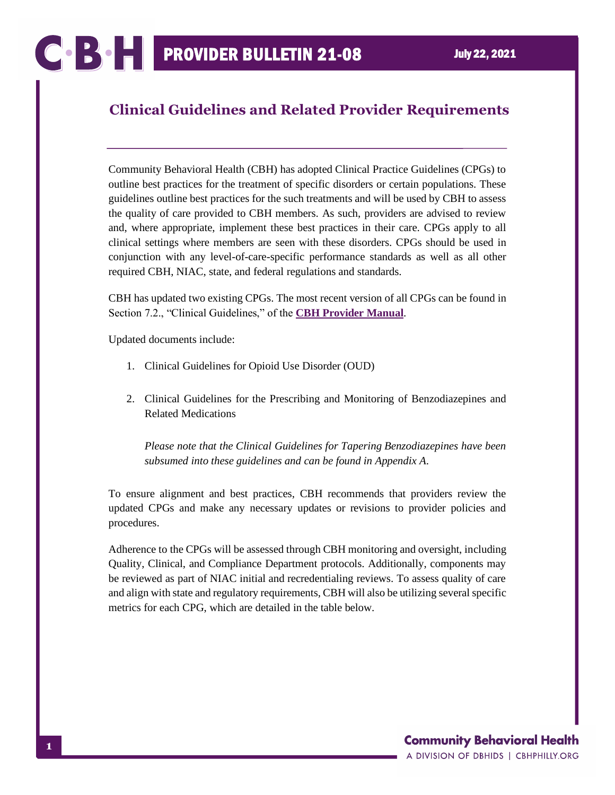## **Clinical Guidelines and Related Provider Requirements**

Community Behavioral Health (CBH) has adopted Clinical Practice Guidelines (CPGs) to outline best practices for the treatment of specific disorders or certain populations. These guidelines outline best practices for the such treatments and will be used by CBH to assess the quality of care provided to CBH members. As such, providers are advised to review and, where appropriate, implement these best practices in their care. CPGs apply to all clinical settings where members are seen with these disorders. CPGs should be used in conjunction with any level-of-care-specific performance standards as well as all other required CBH, NIAC, state, and federal regulations and standards.

CBH has updated two existing CPGs. The most recent version of all CPGs can be found in Section 7.2., "Clinical Guidelines," of the **[CBH Provider Manual](https://cbhphilly.org/cbh-providers/oversight-and-monitoring/cbh-provider-manual/)**.

Updated documents include:

- 1. Clinical Guidelines for Opioid Use Disorder (OUD)
- 2. Clinical Guidelines for the Prescribing and Monitoring of Benzodiazepines and Related Medications

*Please note that the Clinical Guidelines for Tapering Benzodiazepines have been subsumed into these guidelines and can be found in Appendix A.*

To ensure alignment and best practices, CBH recommends that providers review the updated CPGs and make any necessary updates or revisions to provider policies and procedures.

Adherence to the CPGs will be assessed through CBH monitoring and oversight, including Quality, Clinical, and Compliance Department protocols. Additionally, components may be reviewed as part of NIAC initial and recredentialing reviews. To assess quality of care and align with state and regulatory requirements, CBH will also be utilizing several specific metrics for each CPG, which are detailed in the table below.